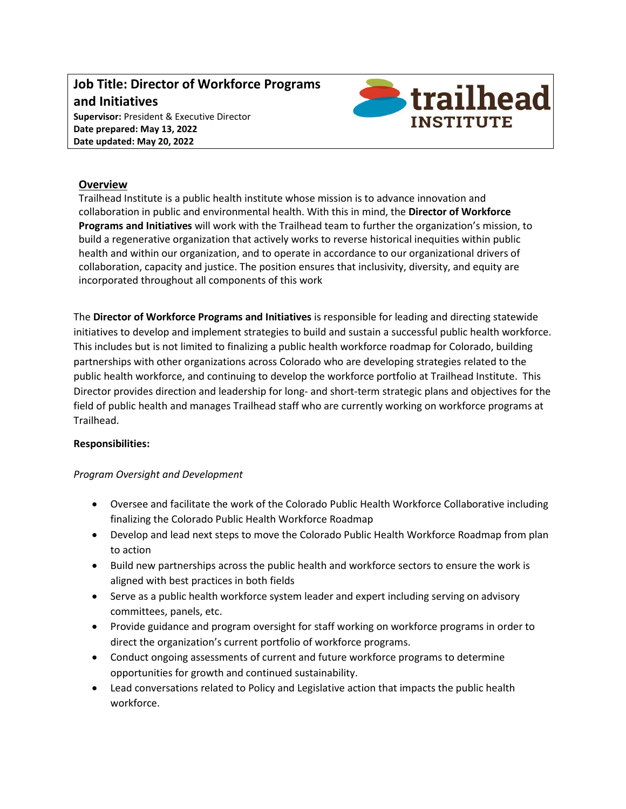### **Job Title: Director of Workforce Programs and Initiatives Supervisor:** President & Executive Director **Date prepared: May 13, 2022 Date updated: May 20, 2022**



### **Overview**

Trailhead Institute is a public health institute whose mission is to advance innovation and collaboration in public and environmental health. With this in mind, the **Director of Workforce Programs and Initiatives** will work with the Trailhead team to further the organization's mission, to build a regenerative organization that actively works to reverse historical inequities within public health and within our organization, and to operate in accordance to our organizational drivers of collaboration, capacity and justice. The position ensures that inclusivity, diversity, and equity are incorporated throughout all components of this work

The **Director of Workforce Programs and Initiatives** is responsible for leading and directing statewide initiatives to develop and implement strategies to build and sustain a successful public health workforce. This includes but is not limited to finalizing a public health workforce roadmap for Colorado, building partnerships with other organizations across Colorado who are developing strategies related to the public health workforce, and continuing to develop the workforce portfolio at Trailhead Institute. This Director provides direction and leadership for long- and short-term strategic plans and objectives for the field of public health and manages Trailhead staff who are currently working on workforce programs at Trailhead.

#### **Responsibilities:**

#### *Program Oversight and Development*

- Oversee and facilitate the work of the Colorado Public Health Workforce Collaborative including finalizing the Colorado Public Health Workforce Roadmap
- Develop and lead next steps to move the Colorado Public Health Workforce Roadmap from plan to action
- Build new partnerships across the public health and workforce sectors to ensure the work is aligned with best practices in both fields
- Serve as a public health workforce system leader and expert including serving on advisory committees, panels, etc.
- Provide guidance and program oversight for staff working on workforce programs in order to direct the organization's current portfolio of workforce programs.
- Conduct ongoing assessments of current and future workforce programs to determine opportunities for growth and continued sustainability.
- Lead conversations related to Policy and Legislative action that impacts the public health workforce.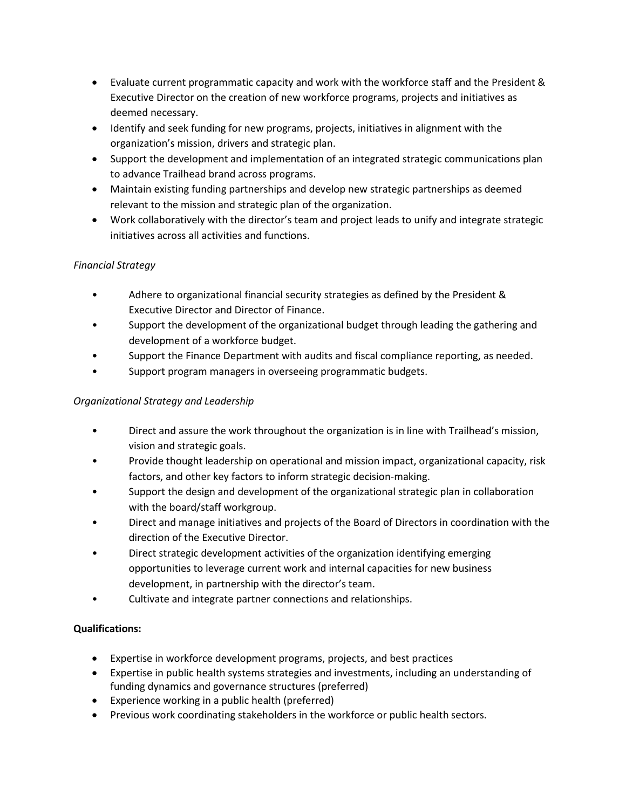- Evaluate current programmatic capacity and work with the workforce staff and the President & Executive Director on the creation of new workforce programs, projects and initiatives as deemed necessary.
- Identify and seek funding for new programs, projects, initiatives in alignment with the organization's mission, drivers and strategic plan.
- Support the development and implementation of an integrated strategic communications plan to advance Trailhead brand across programs.
- Maintain existing funding partnerships and develop new strategic partnerships as deemed relevant to the mission and strategic plan of the organization.
- Work collaboratively with the director's team and project leads to unify and integrate strategic initiatives across all activities and functions.

# *Financial Strategy*

- Adhere to organizational financial security strategies as defined by the President & Executive Director and Director of Finance.
- Support the development of the organizational budget through leading the gathering and development of a workforce budget.
- Support the Finance Department with audits and fiscal compliance reporting, as needed.
- Support program managers in overseeing programmatic budgets.

# *Organizational Strategy and Leadership*

- Direct and assure the work throughout the organization is in line with Trailhead's mission, vision and strategic goals.
- Provide thought leadership on operational and mission impact, organizational capacity, risk factors, and other key factors to inform strategic decision-making.
- Support the design and development of the organizational strategic plan in collaboration with the board/staff workgroup.
- Direct and manage initiatives and projects of the Board of Directors in coordination with the direction of the Executive Director.
- Direct strategic development activities of the organization identifying emerging opportunities to leverage current work and internal capacities for new business development, in partnership with the director's team.
- Cultivate and integrate partner connections and relationships.

# **Qualifications:**

- Expertise in workforce development programs, projects, and best practices
- Expertise in public health systems strategies and investments, including an understanding of funding dynamics and governance structures (preferred)
- Experience working in a public health (preferred)
- Previous work coordinating stakeholders in the workforce or public health sectors.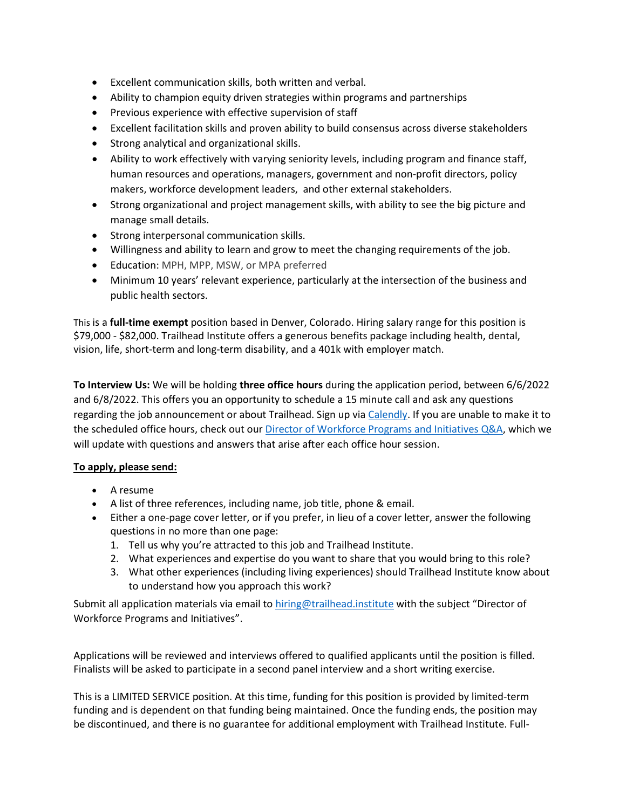- Excellent communication skills, both written and verbal.
- Ability to champion equity driven strategies within programs and partnerships
- Previous experience with effective supervision of staff
- Excellent facilitation skills and proven ability to build consensus across diverse stakeholders
- Strong analytical and organizational skills.
- Ability to work effectively with varying seniority levels, including program and finance staff, human resources and operations, managers, government and non-profit directors, policy makers, workforce development leaders, and other external stakeholders.
- Strong organizational and project management skills, with ability to see the big picture and manage small details.
- Strong interpersonal communication skills.
- Willingness and ability to learn and grow to meet the changing requirements of the job.
- Education: MPH, MPP, MSW, or MPA preferred
- Minimum 10 years' relevant experience, particularly at the intersection of the business and public health sectors.

This is a **full-time exempt** position based in Denver, Colorado. Hiring salary range for this position is \$79,000 - \$82,000. Trailhead Institute offers a generous benefits package including health, dental, vision, life, short-term and long-term disability, and a 401k with employer match.

**To Interview Us:** We will be holding **three office hours** during the application period, between 6/6/2022 and 6/8/2022. This offers you an opportunity to schedule a 15 minute call and ask any questions regarding the job announcement or about Trailhead. Sign up via [Calendly.](https://calendly.com/slampe/workforce-director-office-hours) If you are unable to make it to the scheduled office hours, check out ou[r Director of Workforce Programs and Initiatives Q&A,](https://docs.google.com/document/d/1Ehtl3xzNv0W4bPLvid2_u2rp7r6OJKqFCtV912_K444/edit?usp=sharing) which we will update with questions and answers that arise after each office hour session.

#### **To apply, please send:**

- A resume
- A list of three references, including name, job title, phone & email.
- Either a one-page cover letter, or if you prefer, in lieu of a cover letter, answer the following questions in no more than one page:
	- 1. Tell us why you're attracted to this job and Trailhead Institute.
	- 2. What experiences and expertise do you want to share that you would bring to this role?
	- 3. What other experiences (including living experiences) should Trailhead Institute know about to understand how you approach this work?

Submit all application materials via email to [hiring@trailhead.institute](mailto:hiring@trailhead.institute) with the subject "Director of Workforce Programs and Initiatives".

Applications will be reviewed and interviews offered to qualified applicants until the position is filled. Finalists will be asked to participate in a second panel interview and a short writing exercise.

This is a LIMITED SERVICE position. At this time, funding for this position is provided by limited-term funding and is dependent on that funding being maintained. Once the funding ends, the position may be discontinued, and there is no guarantee for additional employment with Trailhead Institute. Full-